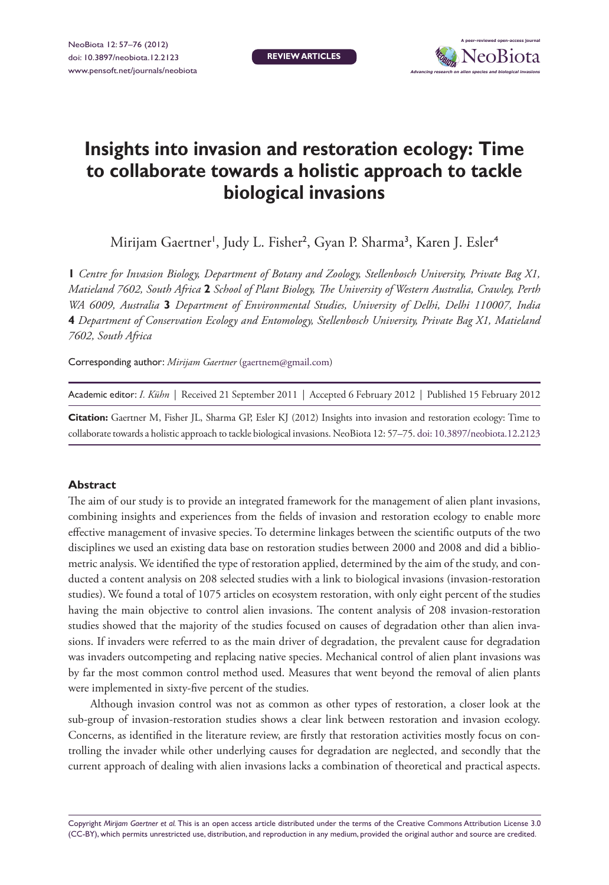**Review Articles**



# **Insights into invasion and restoration ecology: Time to collaborate towards a holistic approach to tackle biological invasions**

Mirijam Gaertner<sup>।</sup>, Judy L. Fisher<sup>2</sup>, Gyan P. Sharma<sup>3</sup>, Karen J. Esler<sup>4</sup>

**1** *Centre for Invasion Biology, Department of Botany and Zoology, Stellenbosch University, Private Bag X1, Matieland 7602, South Africa* **2** *School of Plant Biology, The University of Western Australia, Crawley, Perth WA 6009, Australia* **3** *Department of Environmental Studies, University of Delhi, Delhi 110007, India*  **4** *Department of Conservation Ecology and Entomology, Stellenbosch University, Private Bag X1, Matieland 7602, South Africa*

Corresponding author: *Mirijam Gaertner* [\(gaertnem@gmail.com](mailto:gaertnem@gmail.com))

Academic editor: *I. Kühn* | Received 21 September 2011 | Accepted 6 February 2012 | Published 15 February 2012

**Citation:** Gaertner M, Fisher JL, Sharma GP, Esler KJ (2012) Insights into invasion and restoration ecology: Time to collaborate towards a holistic approach to tackle biological invasions. NeoBiota 12: 57–75. [doi: 10.3897/neobiota.12.2123](http://dx.doi.org/10.3897/neobiota.12.2123)

#### **Abstract**

The aim of our study is to provide an integrated framework for the management of alien plant invasions, combining insights and experiences from the fields of invasion and restoration ecology to enable more effective management of invasive species. To determine linkages between the scientific outputs of the two disciplines we used an existing data base on restoration studies between 2000 and 2008 and did a bibliometric analysis. We identified the type of restoration applied, determined by the aim of the study, and conducted a content analysis on 208 selected studies with a link to biological invasions (invasion-restoration studies). We found a total of 1075 articles on ecosystem restoration, with only eight percent of the studies having the main objective to control alien invasions. The content analysis of 208 invasion-restoration studies showed that the majority of the studies focused on causes of degradation other than alien invasions. If invaders were referred to as the main driver of degradation, the prevalent cause for degradation was invaders outcompeting and replacing native species. Mechanical control of alien plant invasions was by far the most common control method used. Measures that went beyond the removal of alien plants were implemented in sixty-five percent of the studies.

Although invasion control was not as common as other types of restoration, a closer look at the sub-group of invasion-restoration studies shows a clear link between restoration and invasion ecology. Concerns, as identified in the literature review, are firstly that restoration activities mostly focus on controlling the invader while other underlying causes for degradation are neglected, and secondly that the current approach of dealing with alien invasions lacks a combination of theoretical and practical aspects.

Copyright *Mirijam Gaertner et al.* This is an open access article distributed under the terms of the Creative Commons Attribution License 3.0 (CC-BY), which permits unrestricted use, distribution, and reproduction in any medium, provided the original author and source are credited.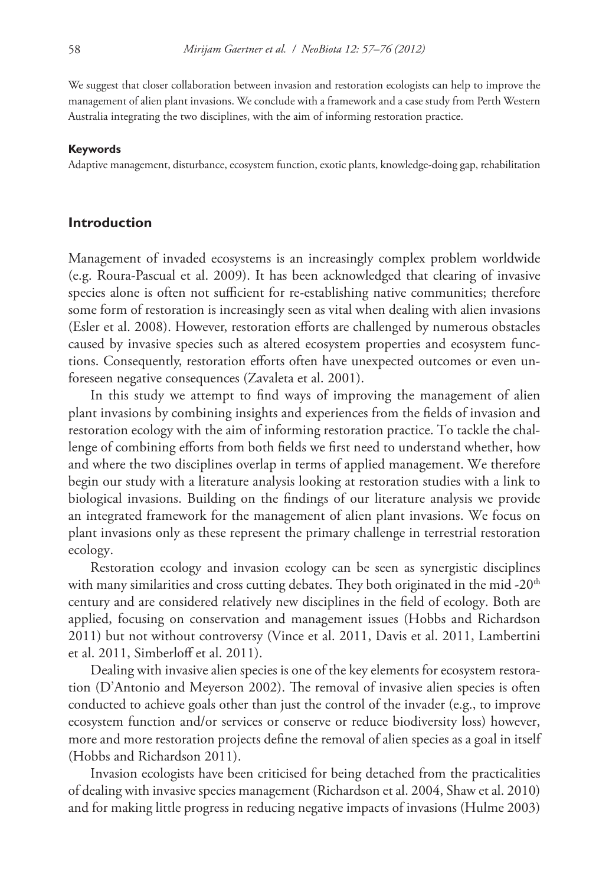We suggest that closer collaboration between invasion and restoration ecologists can help to improve the management of alien plant invasions. We conclude with a framework and a case study from Perth Western Australia integrating the two disciplines, with the aim of informing restoration practice.

#### **Keywords**

Adaptive management, disturbance, ecosystem function, exotic plants, knowledge-doing gap, rehabilitation

#### **Introduction**

Management of invaded ecosystems is an increasingly complex problem worldwide (e.g. Roura-Pascual et al. 2009). It has been acknowledged that clearing of invasive species alone is often not sufficient for re-establishing native communities; therefore some form of restoration is increasingly seen as vital when dealing with alien invasions (Esler et al. 2008). However, restoration efforts are challenged by numerous obstacles caused by invasive species such as altered ecosystem properties and ecosystem functions. Consequently, restoration efforts often have unexpected outcomes or even unforeseen negative consequences (Zavaleta et al. 2001).

In this study we attempt to find ways of improving the management of alien plant invasions by combining insights and experiences from the fields of invasion and restoration ecology with the aim of informing restoration practice. To tackle the challenge of combining efforts from both fields we first need to understand whether, how and where the two disciplines overlap in terms of applied management. We therefore begin our study with a literature analysis looking at restoration studies with a link to biological invasions. Building on the findings of our literature analysis we provide an integrated framework for the management of alien plant invasions. We focus on plant invasions only as these represent the primary challenge in terrestrial restoration ecology.

Restoration ecology and invasion ecology can be seen as synergistic disciplines with many similarities and cross cutting debates. They both originated in the mid - $20<sup>th</sup>$ century and are considered relatively new disciplines in the field of ecology. Both are applied, focusing on conservation and management issues (Hobbs and Richardson 2011) but not without controversy (Vince et al. 2011, Davis et al. 2011, Lambertini et al. 2011, Simberloff et al. 2011).

Dealing with invasive alien species is one of the key elements for ecosystem restoration (D'Antonio and Meyerson 2002). The removal of invasive alien species is often conducted to achieve goals other than just the control of the invader (e.g., to improve ecosystem function and/or services or conserve or reduce biodiversity loss) however, more and more restoration projects define the removal of alien species as a goal in itself (Hobbs and Richardson 2011).

Invasion ecologists have been criticised for being detached from the practicalities of dealing with invasive species management (Richardson et al. 2004, Shaw et al. 2010) and for making little progress in reducing negative impacts of invasions (Hulme 2003)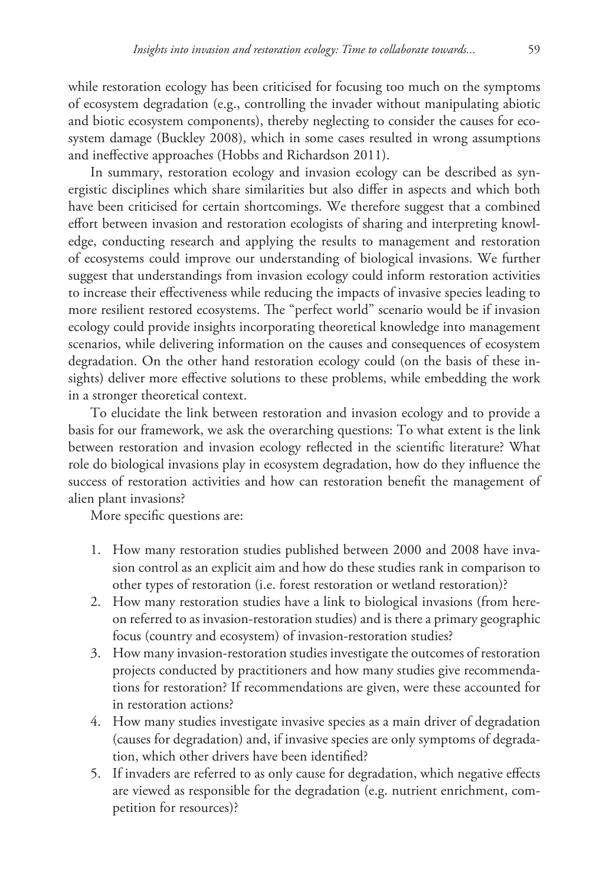while restoration ecology has been criticised for focusing too much on the symptoms of ecosystem degradation (e.g., controlling the invader without manipulating abiotic and biotic ecosystem components), thereby neglecting to consider the causes for ecosystem damage (Buckley 2008), which in some cases resulted in wrong assumptions and ineffective approaches (Hobbs and Richardson 2011).

In summary, restoration ecology and invasion ecology can be described as synergistic disciplines which share similarities but also differ in aspects and which both have been criticised for certain shortcomings. We therefore suggest that a combined effort between invasion and restoration ecologists of sharing and interpreting knowledge, conducting research and applying the results to management and restoration of ecosystems could improve our understanding of biological invasions. We further suggest that understandings from invasion ecology could inform restoration activities to increase their effectiveness while reducing the impacts of invasive species leading to more resilient restored ecosystems. The "perfect world" scenario would be if invasion ecology could provide insights incorporating theoretical knowledge into management scenarios, while delivering information on the causes and consequences of ecosystem degradation. On the other hand restoration ecology could (on the basis of these insights) deliver more effective solutions to these problems, while embedding the work in a stronger theoretical context.

To elucidate the link between restoration and invasion ecology and to provide a basis for our framework, we ask the overarching questions: To what extent is the link between restoration and invasion ecology reflected in the scientific literature? What role do biological invasions play in ecosystem degradation, how do they influence the success of restoration activities and how can restoration benefit the management of alien plant invasions?

More specific questions are:

- 1. How many restoration studies published between 2000 and 2008 have invasion control as an explicit aim and how do these studies rank in comparison to other types of restoration (i.e. forest restoration or wetland restoration)?
- 2. How many restoration studies have a link to biological invasions (from hereon referred to as invasion-restoration studies) and is there a primary geographic focus (country and ecosystem) of invasion-restoration studies?
- 3. How many invasion-restoration studies investigate the outcomes of restoration projects conducted by practitioners and how many studies give recommendations for restoration? If recommendations are given, were these accounted for in restoration actions?
- 4. How many studies investigate invasive species as a main driver of degradation (causes for degradation) and, if invasive species are only symptoms of degradation, which other drivers have been identified?
- 5. If invaders are referred to as only cause for degradation, which negative effects are viewed as responsible for the degradation (e.g. nutrient enrichment, competition for resources)?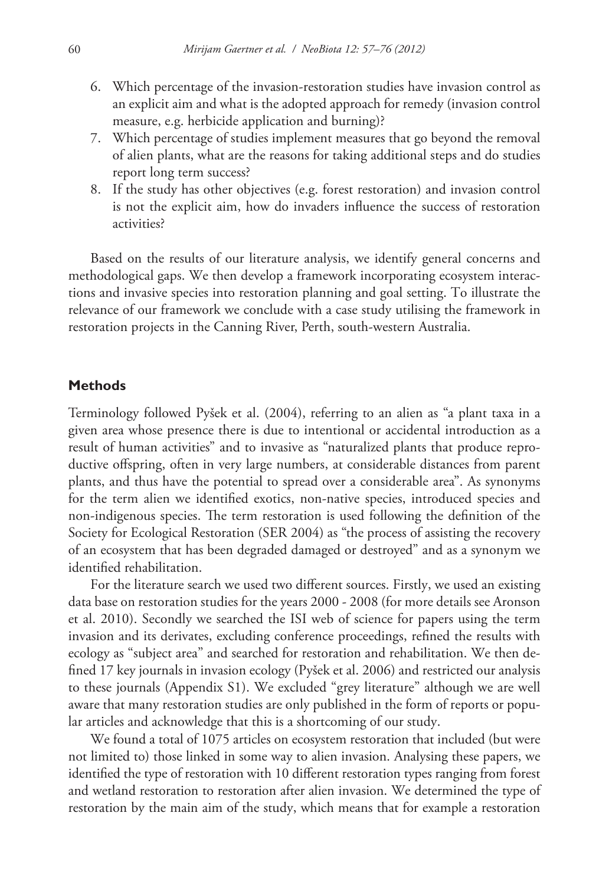- 6. Which percentage of the invasion-restoration studies have invasion control as an explicit aim and what is the adopted approach for remedy (invasion control measure, e.g. herbicide application and burning)?
- 7. Which percentage of studies implement measures that go beyond the removal of alien plants, what are the reasons for taking additional steps and do studies report long term success?
- 8. If the study has other objectives (e.g. forest restoration) and invasion control is not the explicit aim, how do invaders influence the success of restoration activities?

Based on the results of our literature analysis, we identify general concerns and methodological gaps. We then develop a framework incorporating ecosystem interactions and invasive species into restoration planning and goal setting. To illustrate the relevance of our framework we conclude with a case study utilising the framework in restoration projects in the Canning River, Perth, south-western Australia.

#### **Methods**

Terminology followed Pyšek et al. (2004), referring to an alien as "a plant taxa in a given area whose presence there is due to intentional or accidental introduction as a result of human activities" and to invasive as "naturalized plants that produce reproductive offspring, often in very large numbers, at considerable distances from parent plants, and thus have the potential to spread over a considerable area". As synonyms for the term alien we identified exotics, non-native species, introduced species and non-indigenous species. The term restoration is used following the definition of the Society for Ecological Restoration (SER 2004) as "the process of assisting the recovery of an ecosystem that has been degraded damaged or destroyed" and as a synonym we identified rehabilitation.

For the literature search we used two different sources. Firstly, we used an existing data base on restoration studies for the years 2000 - 2008 (for more details see Aronson et al. 2010). Secondly we searched the ISI web of science for papers using the term invasion and its derivates, excluding conference proceedings, refined the results with ecology as "subject area" and searched for restoration and rehabilitation. We then defined 17 key journals in invasion ecology (Pyšek et al. 2006) and restricted our analysis to these journals (Appendix S1). We excluded "grey literature" although we are well aware that many restoration studies are only published in the form of reports or popular articles and acknowledge that this is a shortcoming of our study.

We found a total of 1075 articles on ecosystem restoration that included (but were not limited to) those linked in some way to alien invasion. Analysing these papers, we identified the type of restoration with 10 different restoration types ranging from forest and wetland restoration to restoration after alien invasion. We determined the type of restoration by the main aim of the study, which means that for example a restoration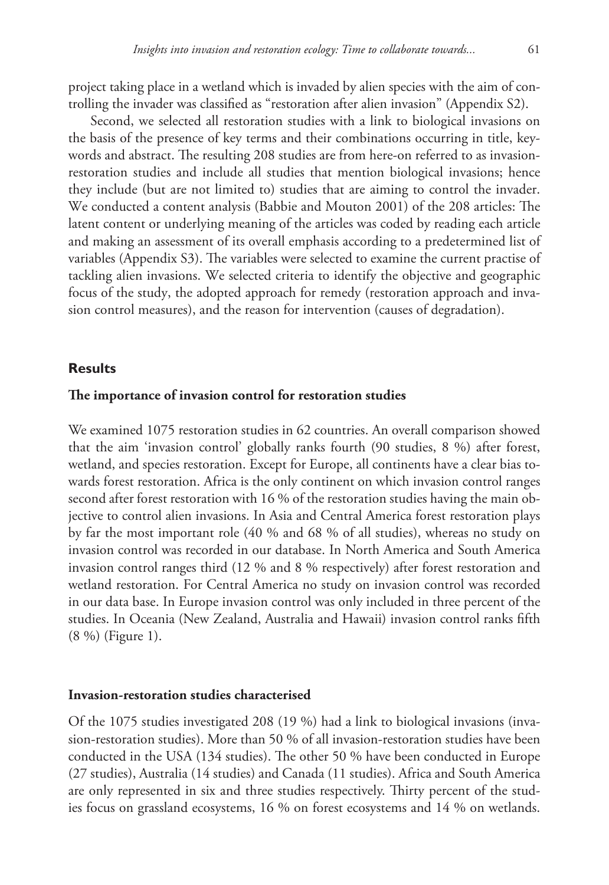project taking place in a wetland which is invaded by alien species with the aim of controlling the invader was classified as "restoration after alien invasion" (Appendix S2).

Second, we selected all restoration studies with a link to biological invasions on the basis of the presence of key terms and their combinations occurring in title, keywords and abstract. The resulting 208 studies are from here-on referred to as invasionrestoration studies and include all studies that mention biological invasions; hence they include (but are not limited to) studies that are aiming to control the invader. We conducted a content analysis (Babbie and Mouton 2001) of the 208 articles: The latent content or underlying meaning of the articles was coded by reading each article and making an assessment of its overall emphasis according to a predetermined list of variables (Appendix S3). The variables were selected to examine the current practise of tackling alien invasions. We selected criteria to identify the objective and geographic focus of the study, the adopted approach for remedy (restoration approach and invasion control measures), and the reason for intervention (causes of degradation).

#### **Results**

#### **The importance of invasion control for restoration studies**

We examined 1075 restoration studies in 62 countries. An overall comparison showed that the aim 'invasion control' globally ranks fourth (90 studies, 8 %) after forest, wetland, and species restoration. Except for Europe, all continents have a clear bias towards forest restoration. Africa is the only continent on which invasion control ranges second after forest restoration with 16 % of the restoration studies having the main objective to control alien invasions. In Asia and Central America forest restoration plays by far the most important role (40 % and 68 % of all studies), whereas no study on invasion control was recorded in our database. In North America and South America invasion control ranges third (12 % and 8 % respectively) after forest restoration and wetland restoration. For Central America no study on invasion control was recorded in our data base. In Europe invasion control was only included in three percent of the studies. In Oceania (New Zealand, Australia and Hawaii) invasion control ranks fifth (8 %) (Figure 1).

#### **Invasion-restoration studies characterised**

Of the 1075 studies investigated 208 (19 %) had a link to biological invasions (invasion-restoration studies). More than 50 % of all invasion-restoration studies have been conducted in the USA (134 studies). The other 50 % have been conducted in Europe (27 studies), Australia (14 studies) and Canada (11 studies). Africa and South America are only represented in six and three studies respectively. Thirty percent of the studies focus on grassland ecosystems, 16 % on forest ecosystems and 14 % on wetlands.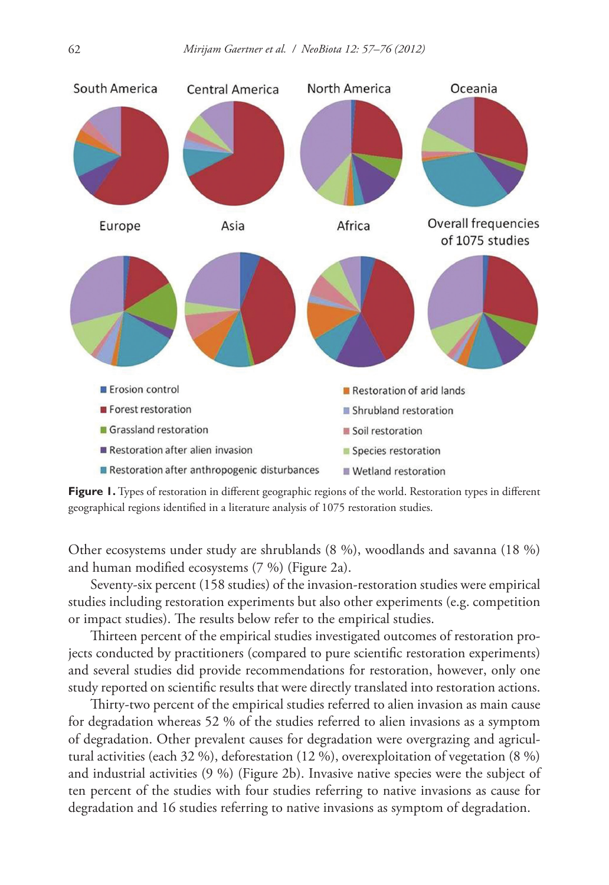

**Figure 1.** Types of restoration in different geographic regions of the world. Restoration types in different geographical regions identified in a literature analysis of 1075 restoration studies.

Other ecosystems under study are shrublands (8 %), woodlands and savanna (18 %) and human modified ecosystems (7 %) (Figure 2a).

Seventy-six percent (158 studies) of the invasion-restoration studies were empirical studies including restoration experiments but also other experiments (e.g. competition or impact studies). The results below refer to the empirical studies.

Thirteen percent of the empirical studies investigated outcomes of restoration projects conducted by practitioners (compared to pure scientific restoration experiments) and several studies did provide recommendations for restoration, however, only one study reported on scientific results that were directly translated into restoration actions.

Thirty-two percent of the empirical studies referred to alien invasion as main cause for degradation whereas 52 % of the studies referred to alien invasions as a symptom of degradation. Other prevalent causes for degradation were overgrazing and agricultural activities (each 32 %), deforestation (12 %), overexploitation of vegetation (8 %) and industrial activities (9 %) (Figure 2b). Invasive native species were the subject of ten percent of the studies with four studies referring to native invasions as cause for degradation and 16 studies referring to native invasions as symptom of degradation.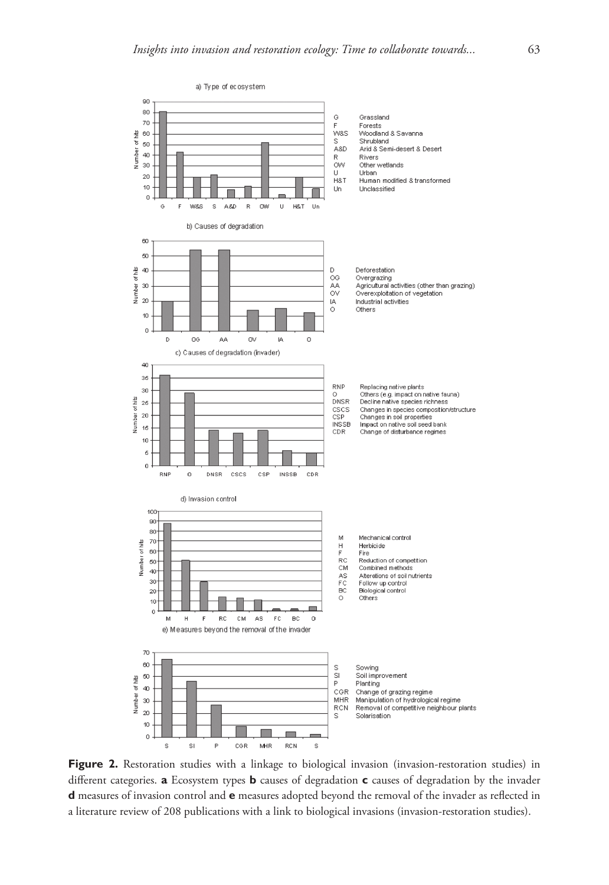

**Figure 2.** Restoration studies with a linkage to biological invasion (invasion-restoration studies) in different categories. **a** Ecosystem types **b** causes of degradation **c** causes of degradation by the invader **d** measures of invasion control and **e** measures adopted beyond the removal of the invader as reflected in a literature review of 208 publications with a link to biological invasions (invasion-restoration studies).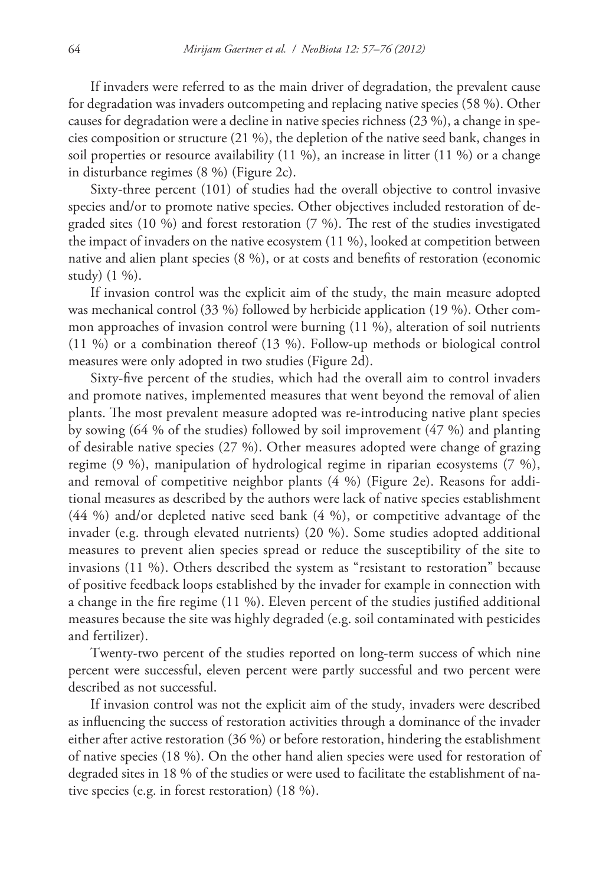If invaders were referred to as the main driver of degradation, the prevalent cause for degradation was invaders outcompeting and replacing native species (58 %). Other causes for degradation were a decline in native species richness (23 %), a change in species composition or structure (21 %), the depletion of the native seed bank, changes in soil properties or resource availability (11 %), an increase in litter (11 %) or a change in disturbance regimes (8 %) (Figure 2c).

Sixty-three percent (101) of studies had the overall objective to control invasive species and/or to promote native species. Other objectives included restoration of degraded sites (10 %) and forest restoration (7 %). The rest of the studies investigated the impact of invaders on the native ecosystem (11 %), looked at competition between native and alien plant species (8 %), or at costs and benefits of restoration (economic study) (1 %).

If invasion control was the explicit aim of the study, the main measure adopted was mechanical control (33 %) followed by herbicide application (19 %). Other common approaches of invasion control were burning (11 %), alteration of soil nutrients (11 %) or a combination thereof (13 %). Follow-up methods or biological control measures were only adopted in two studies (Figure 2d).

Sixty-five percent of the studies, which had the overall aim to control invaders and promote natives, implemented measures that went beyond the removal of alien plants. The most prevalent measure adopted was re-introducing native plant species by sowing (64 % of the studies) followed by soil improvement (47 %) and planting of desirable native species (27 %). Other measures adopted were change of grazing regime (9 %), manipulation of hydrological regime in riparian ecosystems (7 %), and removal of competitive neighbor plants (4 %) (Figure 2e). Reasons for additional measures as described by the authors were lack of native species establishment (44 %) and/or depleted native seed bank (4 %), or competitive advantage of the invader (e.g. through elevated nutrients) (20 %). Some studies adopted additional measures to prevent alien species spread or reduce the susceptibility of the site to invasions (11 %). Others described the system as "resistant to restoration" because of positive feedback loops established by the invader for example in connection with a change in the fire regime (11 %). Eleven percent of the studies justified additional measures because the site was highly degraded (e.g. soil contaminated with pesticides and fertilizer).

Twenty-two percent of the studies reported on long-term success of which nine percent were successful, eleven percent were partly successful and two percent were described as not successful.

If invasion control was not the explicit aim of the study, invaders were described as influencing the success of restoration activities through a dominance of the invader either after active restoration (36 %) or before restoration, hindering the establishment of native species (18 %). On the other hand alien species were used for restoration of degraded sites in 18 % of the studies or were used to facilitate the establishment of native species (e.g. in forest restoration) (18 %).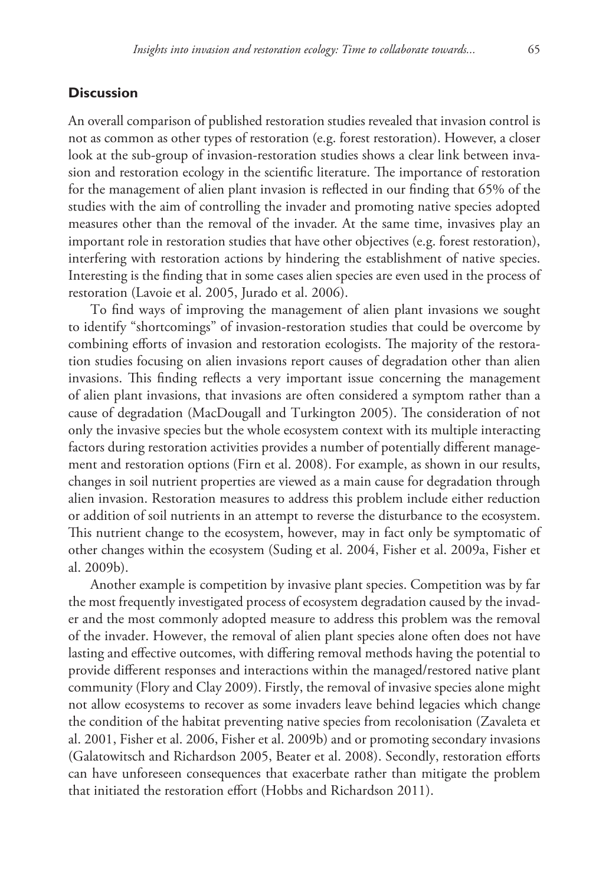#### **Discussion**

An overall comparison of published restoration studies revealed that invasion control is not as common as other types of restoration (e.g. forest restoration). However, a closer look at the sub-group of invasion-restoration studies shows a clear link between invasion and restoration ecology in the scientific literature. The importance of restoration for the management of alien plant invasion is reflected in our finding that 65% of the studies with the aim of controlling the invader and promoting native species adopted measures other than the removal of the invader. At the same time, invasives play an important role in restoration studies that have other objectives (e.g. forest restoration), interfering with restoration actions by hindering the establishment of native species. Interesting is the finding that in some cases alien species are even used in the process of restoration (Lavoie et al. 2005, Jurado et al. 2006).

To find ways of improving the management of alien plant invasions we sought to identify "shortcomings" of invasion-restoration studies that could be overcome by combining efforts of invasion and restoration ecologists. The majority of the restoration studies focusing on alien invasions report causes of degradation other than alien invasions. This finding reflects a very important issue concerning the management of alien plant invasions, that invasions are often considered a symptom rather than a cause of degradation (MacDougall and Turkington 2005). The consideration of not only the invasive species but the whole ecosystem context with its multiple interacting factors during restoration activities provides a number of potentially different management and restoration options (Firn et al. 2008). For example, as shown in our results, changes in soil nutrient properties are viewed as a main cause for degradation through alien invasion. Restoration measures to address this problem include either reduction or addition of soil nutrients in an attempt to reverse the disturbance to the ecosystem. This nutrient change to the ecosystem, however, may in fact only be symptomatic of other changes within the ecosystem (Suding et al. 2004, Fisher et al. 2009a, Fisher et al. 2009b).

Another example is competition by invasive plant species. Competition was by far the most frequently investigated process of ecosystem degradation caused by the invader and the most commonly adopted measure to address this problem was the removal of the invader. However, the removal of alien plant species alone often does not have lasting and effective outcomes, with differing removal methods having the potential to provide different responses and interactions within the managed/restored native plant community (Flory and Clay 2009). Firstly, the removal of invasive species alone might not allow ecosystems to recover as some invaders leave behind legacies which change the condition of the habitat preventing native species from recolonisation (Zavaleta et al. 2001, Fisher et al. 2006, Fisher et al. 2009b) and or promoting secondary invasions (Galatowitsch and Richardson 2005, Beater et al. 2008). Secondly, restoration efforts can have unforeseen consequences that exacerbate rather than mitigate the problem that initiated the restoration effort (Hobbs and Richardson 2011).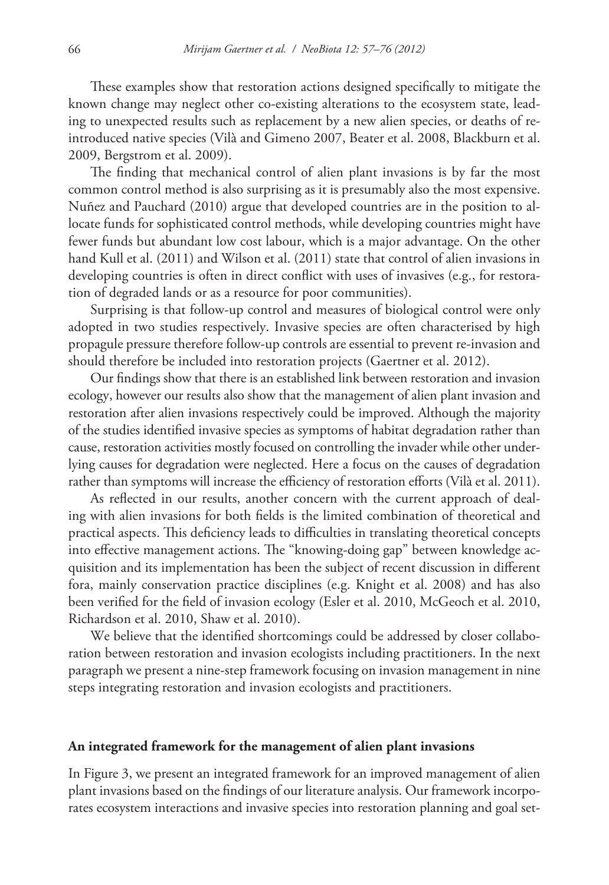These examples show that restoration actions designed specifically to mitigate the known change may neglect other co-existing alterations to the ecosystem state, leading to unexpected results such as replacement by a new alien species, or deaths of reintroduced native species (Vilà and Gimeno 2007, Beater et al. 2008, Blackburn et al. 2009, Bergstrom et al. 2009).

The finding that mechanical control of alien plant invasions is by far the most common control method is also surprising as it is presumably also the most expensive. Nuñez and Pauchard (2010) argue that developed countries are in the position to allocate funds for sophisticated control methods, while developing countries might have fewer funds but abundant low cost labour, which is a major advantage. On the other hand Kull et al. (2011) and Wilson et al. (2011) state that control of alien invasions in developing countries is often in direct conflict with uses of invasives (e.g., for restoration of degraded lands or as a resource for poor communities).

Surprising is that follow-up control and measures of biological control were only adopted in two studies respectively. Invasive species are often characterised by high propagule pressure therefore follow-up controls are essential to prevent re-invasion and should therefore be included into restoration projects (Gaertner et al. 2012).

Our findings show that there is an established link between restoration and invasion ecology, however our results also show that the management of alien plant invasion and restoration after alien invasions respectively could be improved. Although the majority of the studies identified invasive species as symptoms of habitat degradation rather than cause, restoration activities mostly focused on controlling the invader while other underlying causes for degradation were neglected. Here a focus on the causes of degradation rather than symptoms will increase the efficiency of restoration efforts (Vilà et al. 2011).

As reflected in our results, another concern with the current approach of dealing with alien invasions for both fields is the limited combination of theoretical and practical aspects. This deficiency leads to difficulties in translating theoretical concepts into effective management actions. The "knowing-doing gap" between knowledge acquisition and its implementation has been the subject of recent discussion in different fora, mainly conservation practice disciplines (e.g. Knight et al. 2008) and has also been verified for the field of invasion ecology (Esler et al. 2010, McGeoch et al. 2010, Richardson et al. 2010, Shaw et al. 2010).

We believe that the identified shortcomings could be addressed by closer collaboration between restoration and invasion ecologists including practitioners. In the next paragraph we present a nine-step framework focusing on invasion management in nine steps integrating restoration and invasion ecologists and practitioners.

#### **An integrated framework for the management of alien plant invasions**

In Figure 3, we present an integrated framework for an improved management of alien plant invasions based on the findings of our literature analysis. Our framework incorporates ecosystem interactions and invasive species into restoration planning and goal set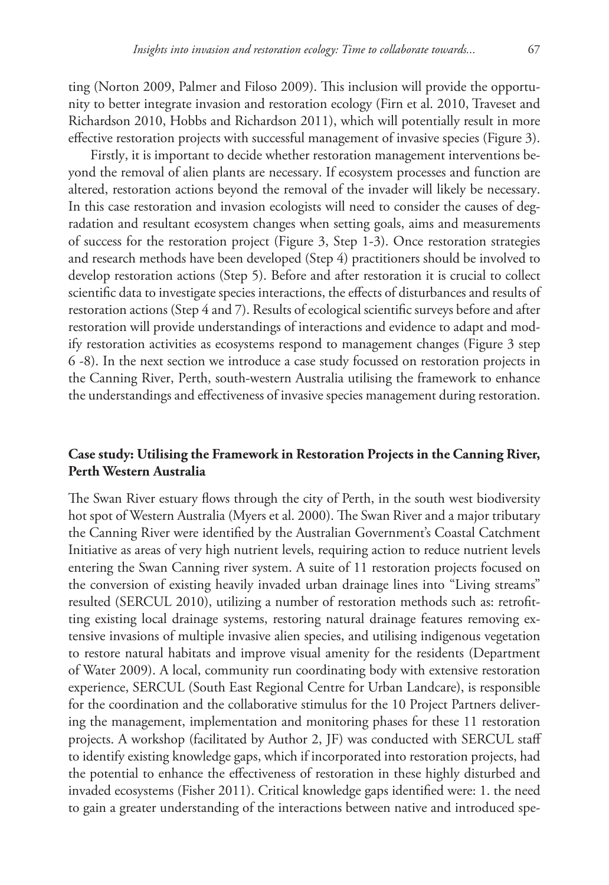ting (Norton 2009, Palmer and Filoso 2009). This inclusion will provide the opportunity to better integrate invasion and restoration ecology (Firn et al. 2010, Traveset and Richardson 2010, Hobbs and Richardson 2011), which will potentially result in more effective restoration projects with successful management of invasive species (Figure 3).

Firstly, it is important to decide whether restoration management interventions beyond the removal of alien plants are necessary. If ecosystem processes and function are altered, restoration actions beyond the removal of the invader will likely be necessary. In this case restoration and invasion ecologists will need to consider the causes of degradation and resultant ecosystem changes when setting goals, aims and measurements of success for the restoration project (Figure 3, Step 1-3). Once restoration strategies and research methods have been developed (Step 4) practitioners should be involved to develop restoration actions (Step 5). Before and after restoration it is crucial to collect scientific data to investigate species interactions, the effects of disturbances and results of restoration actions (Step 4 and 7). Results of ecological scientific surveys before and after restoration will provide understandings of interactions and evidence to adapt and modify restoration activities as ecosystems respond to management changes (Figure 3 step 6 -8). In the next section we introduce a case study focussed on restoration projects in the Canning River, Perth, south-western Australia utilising the framework to enhance the understandings and effectiveness of invasive species management during restoration.

#### **Case study: Utilising the Framework in Restoration Projects in the Canning River, Perth Western Australia**

The Swan River estuary flows through the city of Perth, in the south west biodiversity hot spot of Western Australia (Myers et al. 2000). The Swan River and a major tributary the Canning River were identified by the Australian Government's Coastal Catchment Initiative as areas of very high nutrient levels, requiring action to reduce nutrient levels entering the Swan Canning river system. A suite of 11 restoration projects focused on the conversion of existing heavily invaded urban drainage lines into "Living streams" resulted (SERCUL 2010), utilizing a number of restoration methods such as: retrofitting existing local drainage systems, restoring natural drainage features removing extensive invasions of multiple invasive alien species, and utilising indigenous vegetation to restore natural habitats and improve visual amenity for the residents (Department of Water 2009). A local, community run coordinating body with extensive restoration experience, SERCUL (South East Regional Centre for Urban Landcare), is responsible for the coordination and the collaborative stimulus for the 10 Project Partners delivering the management, implementation and monitoring phases for these 11 restoration projects. A workshop (facilitated by Author 2, JF) was conducted with SERCUL staff to identify existing knowledge gaps, which if incorporated into restoration projects, had the potential to enhance the effectiveness of restoration in these highly disturbed and invaded ecosystems (Fisher 2011). Critical knowledge gaps identified were: 1. the need to gain a greater understanding of the interactions between native and introduced spe-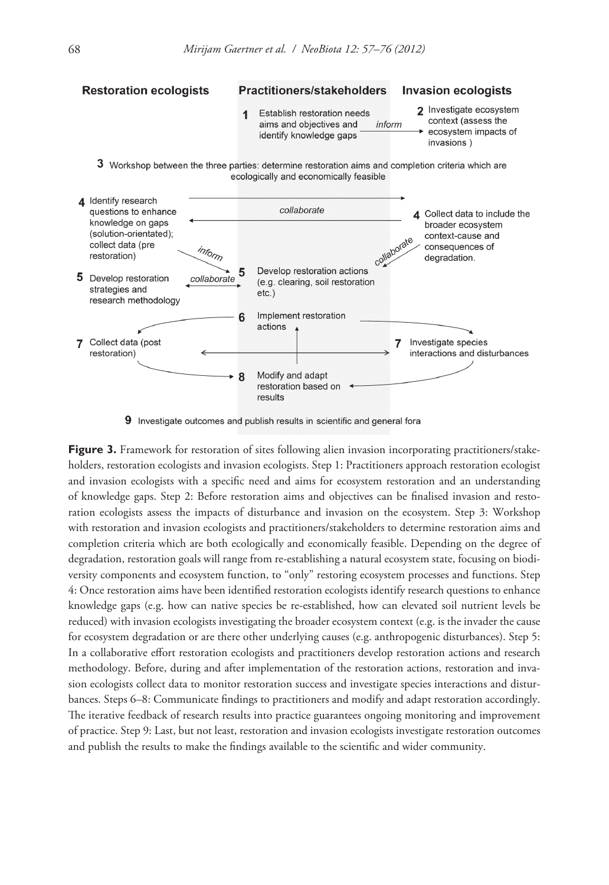

9 Investigate outcomes and publish results in scientific and general fora

**Figure 3.** Framework for restoration of sites following alien invasion incorporating practitioners/stakeholders, restoration ecologists and invasion ecologists. Step 1: Practitioners approach restoration ecologist and invasion ecologists with a specific need and aims for ecosystem restoration and an understanding of knowledge gaps. Step 2: Before restoration aims and objectives can be finalised invasion and restoration ecologists assess the impacts of disturbance and invasion on the ecosystem. Step 3: Workshop with restoration and invasion ecologists and practitioners/stakeholders to determine restoration aims and completion criteria which are both ecologically and economically feasible. Depending on the degree of degradation, restoration goals will range from re-establishing a natural ecosystem state, focusing on biodiversity components and ecosystem function, to "only" restoring ecosystem processes and functions. Step 4: Once restoration aims have been identified restoration ecologists identify research questions to enhance knowledge gaps (e.g. how can native species be re-established, how can elevated soil nutrient levels be reduced) with invasion ecologists investigating the broader ecosystem context (e.g. is the invader the cause for ecosystem degradation or are there other underlying causes (e.g. anthropogenic disturbances). Step 5: In a collaborative effort restoration ecologists and practitioners develop restoration actions and research methodology. Before, during and after implementation of the restoration actions, restoration and invasion ecologists collect data to monitor restoration success and investigate species interactions and disturbances. Steps 6–8: Communicate findings to practitioners and modify and adapt restoration accordingly. The iterative feedback of research results into practice guarantees ongoing monitoring and improvement of practice. Step 9: Last, but not least, restoration and invasion ecologists investigate restoration outcomes and publish the results to make the findings available to the scientific and wider community.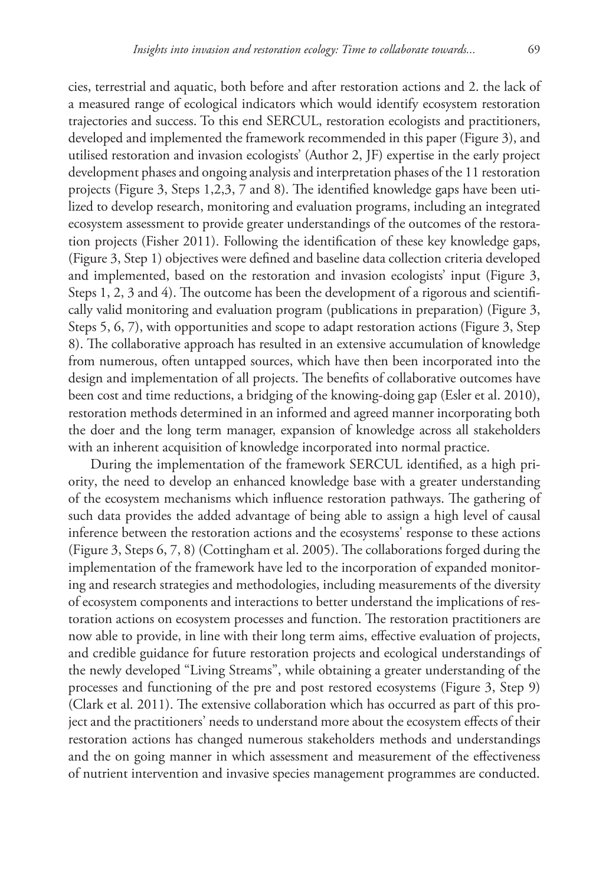cies, terrestrial and aquatic, both before and after restoration actions and 2. the lack of a measured range of ecological indicators which would identify ecosystem restoration trajectories and success. To this end SERCUL, restoration ecologists and practitioners, developed and implemented the framework recommended in this paper (Figure 3), and utilised restoration and invasion ecologists' (Author 2, JF) expertise in the early project development phases and ongoing analysis and interpretation phases of the 11 restoration projects (Figure 3, Steps 1,2,3, 7 and 8). The identified knowledge gaps have been utilized to develop research, monitoring and evaluation programs, including an integrated ecosystem assessment to provide greater understandings of the outcomes of the restoration projects (Fisher 2011). Following the identification of these key knowledge gaps, (Figure 3, Step 1) objectives were defined and baseline data collection criteria developed and implemented, based on the restoration and invasion ecologists' input (Figure 3, Steps 1, 2, 3 and 4). The outcome has been the development of a rigorous and scientifically valid monitoring and evaluation program (publications in preparation) (Figure 3, Steps 5, 6, 7), with opportunities and scope to adapt restoration actions (Figure 3, Step 8). The collaborative approach has resulted in an extensive accumulation of knowledge from numerous, often untapped sources, which have then been incorporated into the design and implementation of all projects. The benefits of collaborative outcomes have been cost and time reductions, a bridging of the knowing-doing gap (Esler et al. 2010), restoration methods determined in an informed and agreed manner incorporating both the doer and the long term manager, expansion of knowledge across all stakeholders with an inherent acquisition of knowledge incorporated into normal practice.

During the implementation of the framework SERCUL identified, as a high priority, the need to develop an enhanced knowledge base with a greater understanding of the ecosystem mechanisms which influence restoration pathways. The gathering of such data provides the added advantage of being able to assign a high level of causal inference between the restoration actions and the ecosystems' response to these actions (Figure 3, Steps 6, 7, 8) (Cottingham et al. 2005). The collaborations forged during the implementation of the framework have led to the incorporation of expanded monitoring and research strategies and methodologies, including measurements of the diversity of ecosystem components and interactions to better understand the implications of restoration actions on ecosystem processes and function. The restoration practitioners are now able to provide, in line with their long term aims, effective evaluation of projects, and credible guidance for future restoration projects and ecological understandings of the newly developed "Living Streams", while obtaining a greater understanding of the processes and functioning of the pre and post restored ecosystems (Figure 3, Step 9) (Clark et al. 2011). The extensive collaboration which has occurred as part of this project and the practitioners' needs to understand more about the ecosystem effects of their restoration actions has changed numerous stakeholders methods and understandings and the on going manner in which assessment and measurement of the effectiveness of nutrient intervention and invasive species management programmes are conducted.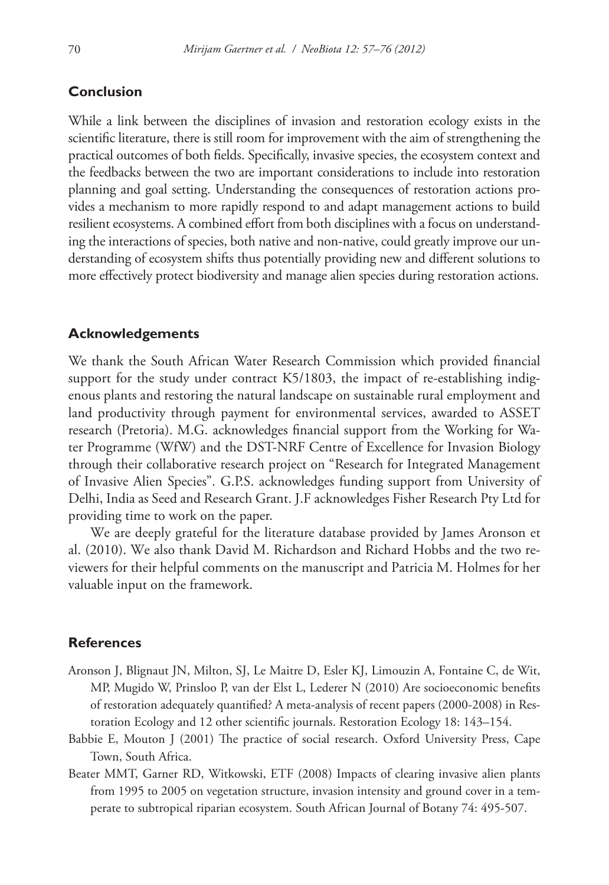### **Conclusion**

While a link between the disciplines of invasion and restoration ecology exists in the scientific literature, there is still room for improvement with the aim of strengthening the practical outcomes of both fields. Specifically, invasive species, the ecosystem context and the feedbacks between the two are important considerations to include into restoration planning and goal setting. Understanding the consequences of restoration actions provides a mechanism to more rapidly respond to and adapt management actions to build resilient ecosystems. A combined effort from both disciplines with a focus on understanding the interactions of species, both native and non-native, could greatly improve our understanding of ecosystem shifts thus potentially providing new and different solutions to more effectively protect biodiversity and manage alien species during restoration actions.

#### **Acknowledgements**

We thank the South African Water Research Commission which provided financial support for the study under contract K5/1803, the impact of re-establishing indigenous plants and restoring the natural landscape on sustainable rural employment and land productivity through payment for environmental services, awarded to ASSET research (Pretoria). M.G. acknowledges financial support from the Working for Water Programme (WfW) and the DST-NRF Centre of Excellence for Invasion Biology through their collaborative research project on "Research for Integrated Management of Invasive Alien Species". G.P.S. acknowledges funding support from University of Delhi, India as Seed and Research Grant. J.F acknowledges Fisher Research Pty Ltd for providing time to work on the paper.

We are deeply grateful for the literature database provided by James Aronson et al. (2010). We also thank David M. Richardson and Richard Hobbs and the two reviewers for their helpful comments on the manuscript and Patricia M. Holmes for her valuable input on the framework.

#### **References**

- Aronson J, Blignaut JN, Milton, SJ, Le Maitre D, Esler KJ, Limouzin A, Fontaine C, de Wit, MP, Mugido W, Prinsloo P, van der Elst L, Lederer N (2010) Are socioeconomic benefits of restoration adequately quantified? A meta-analysis of recent papers (2000-2008) in Restoration Ecology and 12 other scientific journals. Restoration Ecology 18: 143–154.
- Babbie E, Mouton J (2001) The practice of social research. Oxford University Press, Cape Town, South Africa.
- Beater MMT, Garner RD, Witkowski, ETF (2008) Impacts of clearing invasive alien plants from 1995 to 2005 on vegetation structure, invasion intensity and ground cover in a temperate to subtropical riparian ecosystem. South African Journal of Botany 74: 495-507.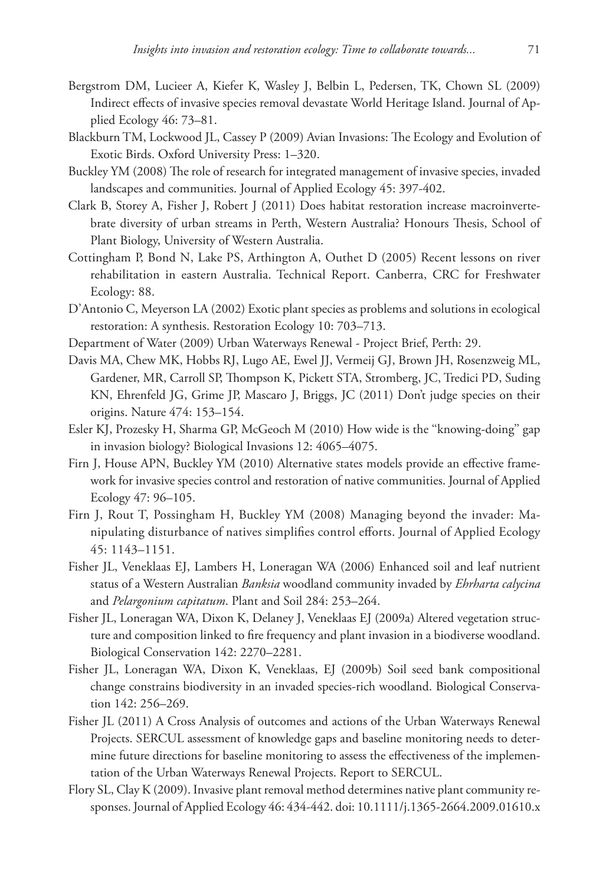- Bergstrom DM, Lucieer A, Kiefer K, Wasley J, Belbin L, Pedersen, TK, Chown SL (2009) Indirect effects of invasive species removal devastate World Heritage Island. Journal of Applied Ecology 46: 73–81.
- Blackburn TM, Lockwood JL, Cassey P (2009) Avian Invasions: The Ecology and Evolution of Exotic Birds. Oxford University Press: 1–320.
- Buckley YM (2008) The role of research for integrated management of invasive species, invaded landscapes and communities. Journal of Applied Ecology 45: 397-402.
- Clark B, Storey A, Fisher J, Robert J (2011) Does habitat restoration increase macroinvertebrate diversity of urban streams in Perth, Western Australia? Honours Thesis, School of Plant Biology, University of Western Australia.
- Cottingham P, Bond N, Lake PS, Arthington A, Outhet D (2005) Recent lessons on river rehabilitation in eastern Australia. Technical Report. Canberra, CRC for Freshwater Ecology: 88.
- D'Antonio C, Meyerson LA (2002) Exotic plant species as problems and solutions in ecological restoration: A synthesis. Restoration Ecology 10: 703–713.
- Department of Water (2009) Urban Waterways Renewal Project Brief, Perth: 29.
- Davis MA, Chew MK, Hobbs RJ, Lugo AE, Ewel JJ, Vermeij GJ, Brown JH, Rosenzweig ML, Gardener, MR, Carroll SP, Thompson K, Pickett STA, Stromberg, JC, Tredici PD, Suding KN, Ehrenfeld JG, Grime JP, Mascaro J, Briggs, JC (2011) Don't judge species on their origins. Nature 474: 153–154.
- Esler KJ, Prozesky H, Sharma GP, McGeoch M (2010) How wide is the ''knowing-doing'' gap in invasion biology? Biological Invasions 12: 4065–4075.
- Firn J, House APN, Buckley YM (2010) Alternative states models provide an effective framework for invasive species control and restoration of native communities. Journal of Applied Ecology 47: 96–105.
- Firn J, Rout T, Possingham H, Buckley YM (2008) Managing beyond the invader: Manipulating disturbance of natives simplifies control efforts. Journal of Applied Ecology 45: 1143–1151.
- Fisher JL, Veneklaas EJ, Lambers H, Loneragan WA (2006) Enhanced soil and leaf nutrient status of a Western Australian *Banksia* woodland community invaded by *Ehrharta calycina*  and *Pelargonium capitatum*. Plant and Soil 284: 253–264.
- Fisher JL, Loneragan WA, Dixon K, Delaney J, Veneklaas EJ (2009a) Altered vegetation structure and composition linked to fire frequency and plant invasion in a biodiverse woodland. Biological Conservation 142: 2270–2281.
- Fisher JL, Loneragan WA, Dixon K, Veneklaas, EJ (2009b) Soil seed bank compositional change constrains biodiversity in an invaded species-rich woodland. Biological Conservation 142: 256–269.
- Fisher JL (2011) A Cross Analysis of outcomes and actions of the Urban Waterways Renewal Projects. SERCUL assessment of knowledge gaps and baseline monitoring needs to determine future directions for baseline monitoring to assess the effectiveness of the implementation of the Urban Waterways Renewal Projects. Report to SERCUL.
- Flory SL, Clay K (2009). Invasive plant removal method determines native plant community responses. Journal of Applied Ecology 46: 434-442. [doi: 10.1111/j.1365-2664.2009.01610.x](http://dx.doi.org/10.1111/j.1365-2664.2009.01610.x)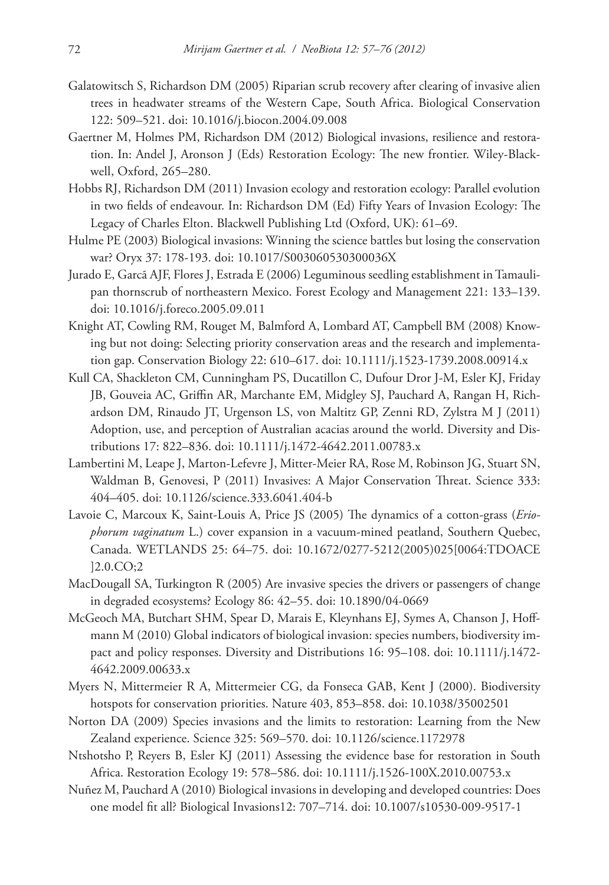- Galatowitsch S, Richardson DM (2005) Riparian scrub recovery after clearing of invasive alien trees in headwater streams of the Western Cape, South Africa. Biological Conservation 122: 509–521. [doi: 10.1016/j.biocon.2004.09.008](http://dx.doi.org/10.1016/j.biocon.2004.09.008)
- Gaertner M, Holmes PM, Richardson DM (2012) Biological invasions, resilience and restoration. In: Andel J, Aronson J (Eds) Restoration Ecology: The new frontier. Wiley-Blackwell, Oxford, 265–280.
- Hobbs RJ, Richardson DM (2011) Invasion ecology and restoration ecology: Parallel evolution in two fields of endeavour. In: Richardson DM (Ed) Fifty Years of Invasion Ecology: The Legacy of Charles Elton. Blackwell Publishing Ltd (Oxford, UK): 61–69.
- Hulme PE (2003) Biological invasions: Winning the science battles but losing the conservation war? Oryx 37: 178-193. [doi: 10.1017/S003060530300036X](http://dx.doi.org/10.1017/S003060530300036X)
- Jurado E, Garcã AJF, Flores J, Estrada E (2006) Leguminous seedling establishment in Tamaulipan thornscrub of northeastern Mexico. Forest Ecology and Management 221: 133–139. [doi: 10.1016/j.foreco.2005.09.011](http://dx.doi.org/10.1016/j.foreco.2005.09.011)
- Knight AT, Cowling RM, Rouget M, Balmford A, Lombard AT, Campbell BM (2008) Knowing but not doing: Selecting priority conservation areas and the research and implementation gap. Conservation Biology 22: 610–617. [doi: 10.1111/j.1523-1739.2008.00914.x](http://dx.doi.org/10.1111/j.1523-1739.2008.00914.x)
- Kull CA, Shackleton CM, Cunningham PS, Ducatillon C, Dufour Dror J-M, Esler KJ, Friday JB, Gouveia AC, Griffin AR, Marchante EM, Midgley SJ, Pauchard A, Rangan H, Richardson DM, Rinaudo JT, Urgenson LS, von Maltitz GP, Zenni RD, Zylstra M J (2011) Adoption, use, and perception of Australian acacias around the world. Diversity and Distributions 17: 822–836. [doi: 10.1111/j.1472-4642.2011.00783.x](http://dx.doi.org/10.1111/j.1472-4642.2011.00783.x)
- Lambertini M, Leape J, Marton-Lefevre J, Mitter-Meier RA, Rose M, Robinson JG, Stuart SN, Waldman B, Genovesi, P (2011) Invasives: A Major Conservation Threat. Science 333: 404–405. [doi: 10.1126/science.333.6041.404-b](http://dx.doi.org/10.1126/science.333.6041.404-b)
- Lavoie C, Marcoux K, Saint-Louis A, Price JS (2005) The dynamics of a cotton-grass (*Eriophorum vaginatum* L.) cover expansion in a vacuum-mined peatland, Southern Quebec, Canada. WETLANDS 25: 64–75. [doi: 10.1672/0277-5212\(2005\)025\[0064:TDOACE](http://dx.doi.org/10.1672/0277-5212(2005)025[0064:TDOACE]2.0.CO;2) [\]2.0.CO;2](http://dx.doi.org/10.1672/0277-5212(2005)025[0064:TDOACE]2.0.CO;2)
- MacDougall SA, Turkington R (2005) Are invasive species the drivers or passengers of change in degraded ecosystems? Ecology 86: 42–55. [doi: 10.1890/04-0669](http://dx.doi.org/10.1890/04-0669)
- McGeoch MA, Butchart SHM, Spear D, Marais E, Kleynhans EJ, Symes A, Chanson J, Hoffmann M (2010) Global indicators of biological invasion: species numbers, biodiversity impact and policy responses. Diversity and Distributions 16: 95–108. [doi: 10.1111/j.1472-](http://dx.doi.org/10.1111/j.1472-4642.2009.00633.x) [4642.2009.00633.x](http://dx.doi.org/10.1111/j.1472-4642.2009.00633.x)
- Myers N, Mittermeier R A, Mittermeier CG, da Fonseca GAB, Kent J (2000). Biodiversity hotspots for conservation priorities. Nature 403, 853–858. [doi: 10.1038/35002501](http://dx.doi.org/10.1038/35002501)
- Norton DA (2009) Species invasions and the limits to restoration: Learning from the New Zealand experience. Science 325: 569–570. [doi: 10.1126/science.1172978](http://dx.doi.org/10.1126/science.1172978)
- Ntshotsho P, Reyers B, Esler KJ (2011) Assessing the evidence base for restoration in South Africa. Restoration Ecology 19: 578–586. [doi: 10.1111/j.1526-100X.2010.00753.x](http://dx.doi.org/10.1111/j.1526-100X.2010.00753.x)
- Nuñez M, Pauchard A (2010) Biological invasions in developing and developed countries: Does one model fit all? Biological Invasions12: 707–714. [doi: 10.1007/s10530-009-9517-1](http://dx.doi.org/10.1007/s10530-009-9517-1)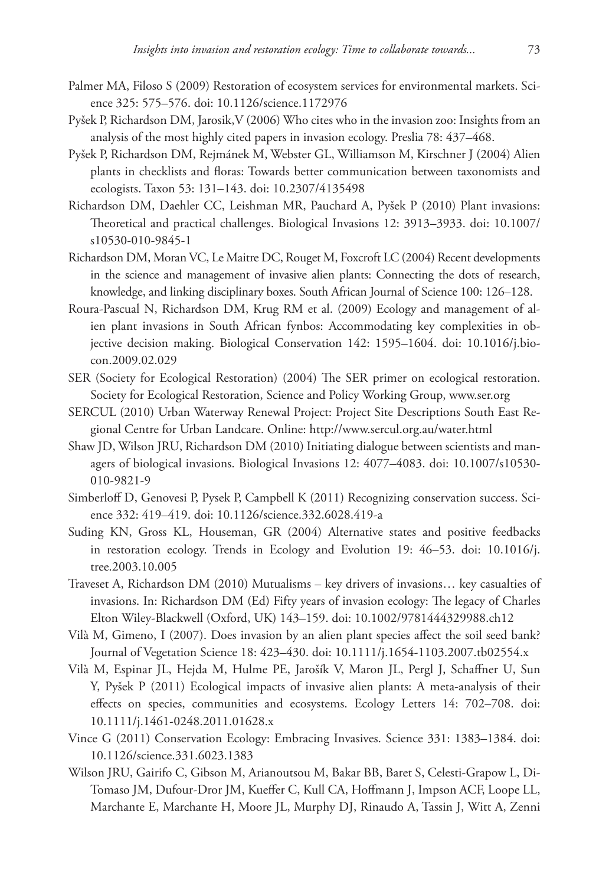- Palmer MA, Filoso S (2009) Restoration of ecosystem services for environmental markets. Science 325: 575–576. [doi: 10.1126/science.1172976](http://dx.doi.org/10.1126/science.1172976)
- Pyšek P, Richardson DM, Jarosik,V (2006) Who cites who in the invasion zoo: Insights from an analysis of the most highly cited papers in invasion ecology. Preslia 78: 437–468.
- Pyšek P, Richardson DM, Rejmánek M, Webster GL, Williamson M, Kirschner J (2004) Alien plants in checklists and floras: Towards better communication between taxonomists and ecologists. Taxon 53: 131–143. [doi: 10.2307/4135498](http://dx.doi.org/10.2307/4135498)
- Richardson DM, Daehler CC, Leishman MR, Pauchard A, Pyšek P (2010) Plant invasions: Theoretical and practical challenges. Biological Invasions 12: 3913–3933. [doi: 10.1007/](http://dx.doi.org/10.1007/s10530-010-9845-1) [s10530-010-9845-1](http://dx.doi.org/10.1007/s10530-010-9845-1)
- Richardson DM, Moran VC, Le Maitre DC, Rouget M, Foxcroft LC (2004) Recent developments in the science and management of invasive alien plants: Connecting the dots of research, knowledge, and linking disciplinary boxes. South African Journal of Science 100: 126–128.
- Roura-Pascual N, Richardson DM, Krug RM et al. (2009) Ecology and management of alien plant invasions in South African fynbos: Accommodating key complexities in objective decision making. Biological Conservation 142: 1595–1604. [doi: 10.1016/j.bio](http://dx.doi.org/10.1016/j.biocon.2009.02.029)[con.2009.02.029](http://dx.doi.org/10.1016/j.biocon.2009.02.029)
- SER (Society for Ecological Restoration) (2004) The SER primer on ecological restoration. Society for Ecological Restoration, Science and Policy Working Group,<www.ser.org>
- SERCUL (2010) Urban Waterway Renewal Project: Project Site Descriptions South East Regional Centre for Urban Landcare. Online: <http://www.sercul.org.au/water.html>
- Shaw JD, Wilson JRU, Richardson DM (2010) Initiating dialogue between scientists and managers of biological invasions. Biological Invasions 12: 4077–4083. [doi: 10.1007/s10530-](http://dx.doi.org/10.1007/s10530-010-9821-9) [010-9821-9](http://dx.doi.org/10.1007/s10530-010-9821-9)
- Simberloff D, Genovesi P, Pysek P, Campbell K (2011) Recognizing conservation success. Science 332: 419–419. [doi: 10.1126/science.332.6028.419-a](http://dx.doi.org/10.1126/science.332.6028.419-a)
- Suding KN, Gross KL, Houseman, GR (2004) Alternative states and positive feedbacks in restoration ecology. Trends in Ecology and Evolution 19: 46–53. [doi: 10.1016/j.](http://dx.doi.org/10.1016/j.tree.2003.10.005) [tree.2003.10.005](http://dx.doi.org/10.1016/j.tree.2003.10.005)
- Traveset A, Richardson DM (2010) Mutualisms key drivers of invasions… key casualties of invasions. In: Richardson DM (Ed) Fifty years of invasion ecology: The legacy of Charles Elton Wiley-Blackwell (Oxford, UK) 143–159. [doi: 10.1002/9781444329988.ch12](http://dx.doi.org/10.1002/9781444329988.ch12)
- Vilà M, Gimeno, I (2007). Does invasion by an alien plant species affect the soil seed bank? Journal of Vegetation Science 18: 423–430. [doi: 10.1111/j.1654-1103.2007.tb02554.x](http://dx.doi.org/10.1111/j.1654-1103.2007.tb02554.x)
- Vilà M, Espinar JL, Hejda M, Hulme PE, Jarošík V, Maron JL, Pergl J, Schaffner U, Sun Y, Pyšek P (2011) Ecological impacts of invasive alien plants: A meta-analysis of their effects on species, communities and ecosystems. Ecology Letters 14: 702–708. [doi:](http://dx.doi.org/10.1111/j.1461-0248.2011.01628.x) [10.1111/j.1461-0248.2011.01628.x](http://dx.doi.org/10.1111/j.1461-0248.2011.01628.x)
- Vince G (2011) Conservation Ecology: Embracing Invasives. Science 331: 1383–1384. [doi:](http://dx.doi.org/10.1126/science.331.6023.1383) [10.1126/science.331.6023.1383](http://dx.doi.org/10.1126/science.331.6023.1383)
- Wilson JRU, Gairifo C, Gibson M, Arianoutsou M, Bakar BB, Baret S, Celesti-Grapow L, Di-Tomaso JM, Dufour-Dror JM, Kueffer C, Kull CA, Hoffmann J, Impson ACF, Loope LL, Marchante E, Marchante H, Moore JL, Murphy DJ, Rinaudo A, Tassin J, Witt A, Zenni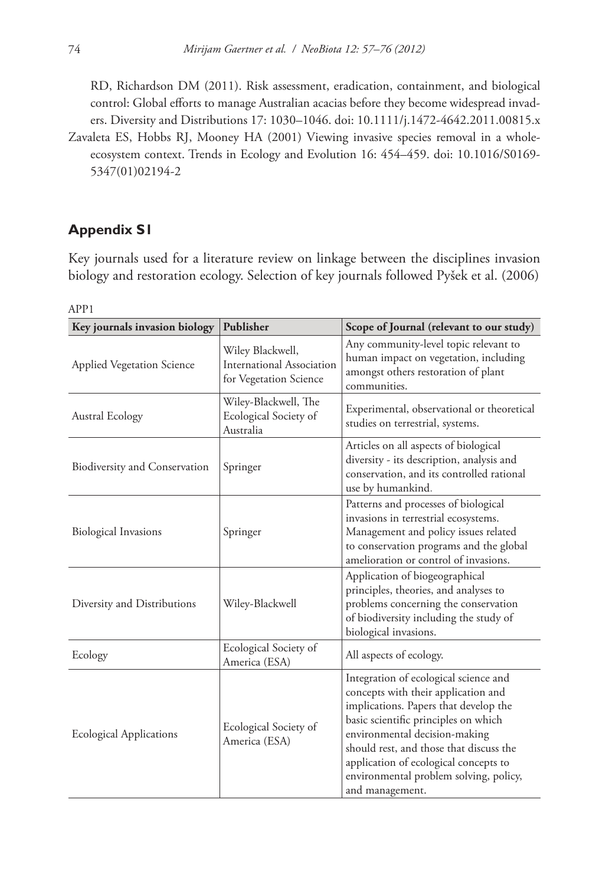RD, Richardson DM (2011). Risk assessment, eradication, containment, and biological control: Global efforts to manage Australian acacias before they become widespread invaders. Diversity and Distributions 17: 1030–1046. [doi: 10.1111/j.1472-4642.2011.00815.x](http://dx.doi.org/10.1111/j.1472-4642.2011.00815.x)

Zavaleta ES, Hobbs RJ, Mooney HA (2001) Viewing invasive species removal in a wholeecosystem context. Trends in Ecology and Evolution 16: 454–459. [doi: 10.1016/S0169-](http://dx.doi.org/10.1016/S0169-5347(01)02194-2) [5347\(01\)02194-2](http://dx.doi.org/10.1016/S0169-5347(01)02194-2)

### **Appendix S1**

Key journals used for a literature review on linkage between the disciplines invasion biology and restoration ecology. Selection of key journals followed Pyšek et al. (2006)

| Key journals invasion biology     | Publisher                                                               | Scope of Journal (relevant to our study)                                                                                                                                                                                                                                                                                                        |
|-----------------------------------|-------------------------------------------------------------------------|-------------------------------------------------------------------------------------------------------------------------------------------------------------------------------------------------------------------------------------------------------------------------------------------------------------------------------------------------|
| <b>Applied Vegetation Science</b> | Wiley Blackwell,<br>International Association<br>for Vegetation Science | Any community-level topic relevant to<br>human impact on vegetation, including<br>amongst others restoration of plant<br>communities.                                                                                                                                                                                                           |
| <b>Austral Ecology</b>            | Wiley-Blackwell, The<br>Ecological Society of<br>Australia              | Experimental, observational or theoretical<br>studies on terrestrial, systems.                                                                                                                                                                                                                                                                  |
| Biodiversity and Conservation     | Springer                                                                | Articles on all aspects of biological<br>diversity - its description, analysis and<br>conservation, and its controlled rational<br>use by humankind.                                                                                                                                                                                            |
| <b>Biological Invasions</b>       | Springer                                                                | Patterns and processes of biological<br>invasions in terrestrial ecosystems.<br>Management and policy issues related<br>to conservation programs and the global<br>amelioration or control of invasions.                                                                                                                                        |
| Diversity and Distributions       | Wiley-Blackwell                                                         | Application of biogeographical<br>principles, theories, and analyses to<br>problems concerning the conservation<br>of biodiversity including the study of<br>biological invasions.                                                                                                                                                              |
| Ecology                           | Ecological Society of<br>America (ESA)                                  | All aspects of ecology.                                                                                                                                                                                                                                                                                                                         |
| <b>Ecological Applications</b>    | Ecological Society of<br>America (ESA)                                  | Integration of ecological science and<br>concepts with their application and<br>implications. Papers that develop the<br>basic scientific principles on which<br>environmental decision-making<br>should rest, and those that discuss the<br>application of ecological concepts to<br>environmental problem solving, policy,<br>and management. |

APP1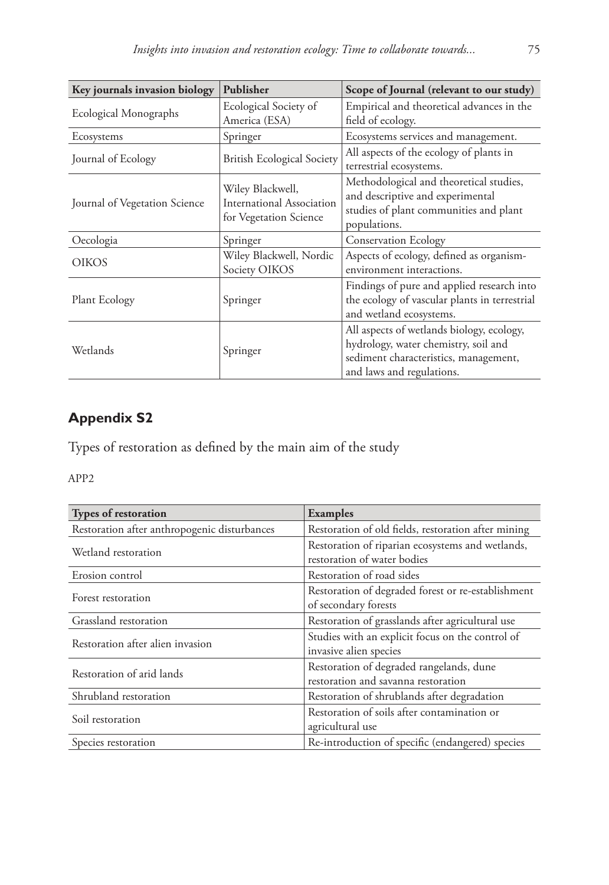| Key journals invasion biology | Publisher                                                               | Scope of Journal (relevant to our study)                                                                                                                |
|-------------------------------|-------------------------------------------------------------------------|---------------------------------------------------------------------------------------------------------------------------------------------------------|
| Ecological Monographs         | Ecological Society of<br>America (ESA)                                  | Empirical and theoretical advances in the<br>field of ecology.                                                                                          |
| Ecosystems                    | Springer                                                                | Ecosystems services and management.                                                                                                                     |
| Journal of Ecology            | <b>British Ecological Society</b>                                       | All aspects of the ecology of plants in<br>terrestrial ecosystems.                                                                                      |
| Journal of Vegetation Science | Wiley Blackwell,<br>International Association<br>for Vegetation Science | Methodological and theoretical studies,<br>and descriptive and experimental<br>studies of plant communities and plant<br>populations.                   |
| Oecologia                     | Springer                                                                | <b>Conservation Ecology</b>                                                                                                                             |
| <b>OIKOS</b>                  | Wiley Blackwell, Nordic<br>Society OIKOS                                | Aspects of ecology, defined as organism-<br>environment interactions.                                                                                   |
| Plant Ecology                 | Springer                                                                | Findings of pure and applied research into<br>the ecology of vascular plants in terrestrial<br>and wetland ecosystems.                                  |
| Wetlands                      | Springer                                                                | All aspects of wetlands biology, ecology,<br>hydrology, water chemistry, soil and<br>sediment characteristics, management,<br>and laws and regulations. |

## **Appendix S2**

Types of restoration as defined by the main aim of the study

APP2

| <b>Types of restoration</b>                  | <b>Examples</b>                                                                 |
|----------------------------------------------|---------------------------------------------------------------------------------|
| Restoration after anthropogenic disturbances | Restoration of old fields, restoration after mining                             |
| Wetland restoration                          | Restoration of riparian ecosystems and wetlands,<br>restoration of water bodies |
| Erosion control                              | Restoration of road sides                                                       |
| Forest restoration                           | Restoration of degraded forest or re-establishment<br>of secondary forests      |
| Grassland restoration                        | Restoration of grasslands after agricultural use                                |
| Restoration after alien invasion             | Studies with an explicit focus on the control of<br>invasive alien species      |
| Restoration of arid lands                    | Restoration of degraded rangelands, dune<br>restoration and savanna restoration |
| Shrubland restoration                        | Restoration of shrublands after degradation                                     |
| Soil restoration                             | Restoration of soils after contamination or<br>agricultural use                 |
| Species restoration                          | Re-introduction of specific (endangered) species                                |